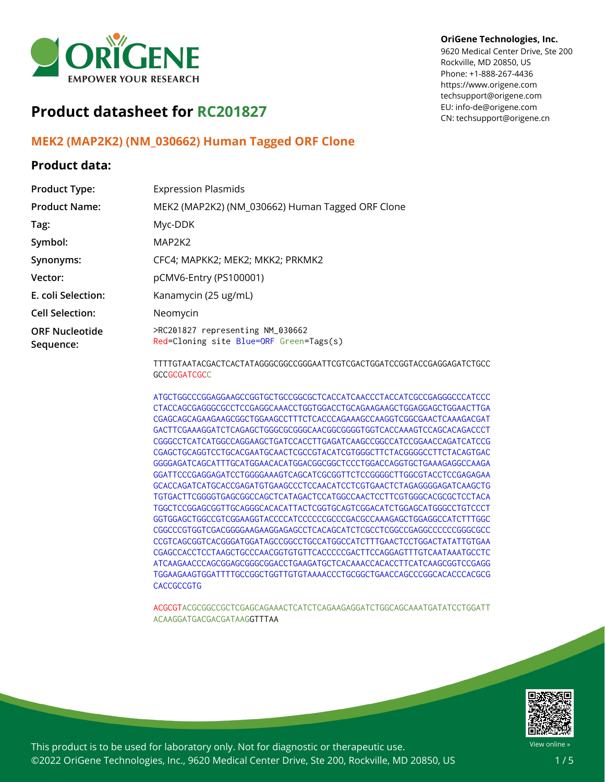

# **Product datasheet for RC201827**

## **MEK2 (MAP2K2) (NM\_030662) Human Tagged ORF Clone**

### **Product data:**

| <b>Product Type:</b>               | <b>Expression Plasmids</b>                                                  |
|------------------------------------|-----------------------------------------------------------------------------|
| <b>Product Name:</b>               | MEK2 (MAP2K2) (NM_030662) Human Tagged ORF Clone                            |
| Tag:                               | Myc-DDK                                                                     |
| Symbol:                            | MAP2K2                                                                      |
| Synonyms:                          | CFC4; MAPKK2; MEK2; MKK2; PRKMK2                                            |
| Vector:                            | pCMV6-Entry (PS100001)                                                      |
| E. coli Selection:                 | Kanamycin (25 ug/mL)                                                        |
| <b>Cell Selection:</b>             | Neomycin                                                                    |
| <b>ORF Nucleotide</b><br>Sequence: | >RC201827 representing NM_030662<br>Red=Cloning site Blue=ORF Green=Tags(s) |

TTTTGTAATACGACTCACTATAGGGCGGCCGGGAATTCGTCGACTGGATCCGGTACCGAGGAGATCTGCC **GCCGCGATCGCC** 

ATGCTGGCCCGGAGGAAGCCGGTGCTGCCGGCGCTCACCATCAACCCTACCATCGCCGAGGGCCCATCCC CTACCAGCGAGGGCGCCTCCGAGGCAAACCTGGTGGACCTGCAGAAGAAGCTGGAGGAGCTGGAACTTGA CGAGCAGCAGAAGAAGCGGCTGGAAGCCTTTCTCACCCAGAAAGCCAAGGTCGGCGAACTCAAAGACGAT GACTTCGAAAGGATCTCAGAGCTGGGCGCGGGCAACGGCGGGGTGGTCACCAAAGTCCAGCACAGACCCT CGGGCCTCATCATGGCCAGGAAGCTGATCCACCTTGAGATCAAGCCGGCCATCCGGAACCAGATCATCCG CGAGCTGCAGGTCCTGCACGAATGCAACTCGCCGTACATCGTGGGCTTCTACGGGGCCTTCTACAGTGAC GGGGAGATCAGCATTTGCATGGAACACATGGACGGCGGCTCCCTGGACCAGGTGCTGAAAGAGGCCAAGA GGATTCCCGAGGAGATCCTGGGGAAAGTCAGCATCGCGGTTCTCCGGGGCTTGGCGTACCTCCGAGAGAA GCACCAGATCATGCACCGAGATGTGAAGCCCTCCAACATCCTCGTGAACTCTAGAGGGGAGATCAAGCTG TGTGACTTCGGGGTGAGCGGCCAGCTCATAGACTCCATGGCCAACTCCTTCGTGGGCACGCGCTCCTACA TGGCTCCGGAGCGGTTGCAGGGCACACATTACTCGGTGCAGTCGGACATCTGGAGCATGGGCCTGTCCCT GGTGGAGCTGGCCGTCGGAAGGTACCCCATCCCCCCGCCCGACGCCAAAGAGCTGGAGGCCATCTTTGGC CGGCCCGTGGTCGACGGGGAAGAAGGAGAGCCTCACAGCATCTCGCCTCGGCCGAGGCCCCCCGGGCGCC CCGTCAGCGGTCACGGGATGGATAGCCGGCCTGCCATGGCCATCTTTGAACTCCTGGACTATATTGTGAA CGAGCCACCTCCTAAGCTGCCCAACGGTGTGTTCACCCCCGACTTCCAGGAGTTTGTCAATAAATGCCTC ATCAAGAACCCAGCGGAGCGGGCGGACCTGAAGATGCTCACAAACCACACCTTCATCAAGCGGTCCGAGG TGGAAGAAGTGGATTTTGCCGGCTGGTTGTGTAAAACCCTGCGGCTGAACCAGCCCGGCACACCCACGCG **CACCGCCGTG** 

ACGCGTACGCGGCCGCTCGAGCAGAAACTCATCTCAGAAGAGGATCTGGCAGCAAATGATATCCTGGATT ACAAGGATGACGACGATAAGGTTTAA



View online »

This product is to be used for laboratory only. Not for diagnostic or therapeutic use. ©2022 OriGene Technologies, Inc., 9620 Medical Center Drive, Ste 200, Rockville, MD 20850, US

#### **OriGene Technologies, Inc.**

9620 Medical Center Drive, Ste 200 Rockville, MD 20850, US Phone: +1-888-267-4436 https://www.origene.com techsupport@origene.com EU: info-de@origene.com CN: techsupport@origene.cn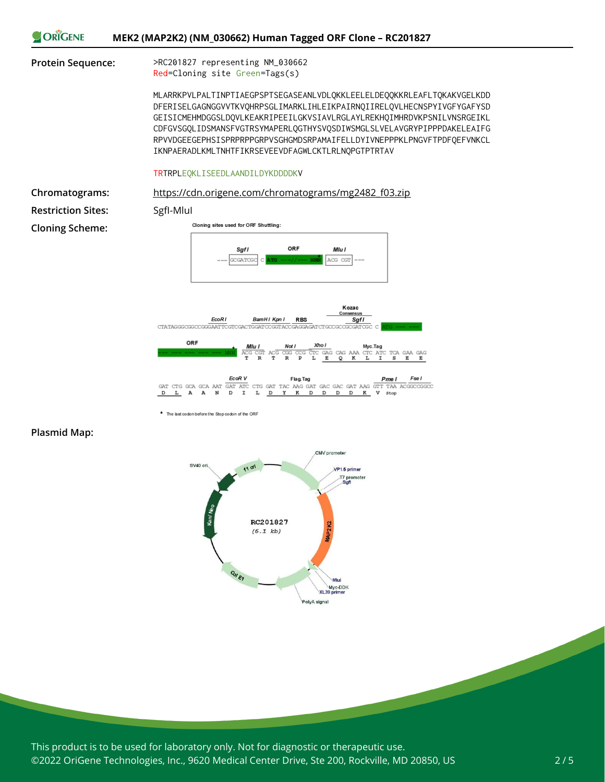

EcoR V Flag.Tag Fse I  $\begin{array}{lll} & \text{EcoR\,V} & \text{Flag}\\ \text{GAT\,GCA\,GCA\,AAT\,GAT\,ATC\,CTG\,GAT\,TAC\,AAG\,GAT\,GAC\,GAT\,AAG\,GAT\,AAG\,GAT\,AAG\,GAT\,AAG\,GAT\,AAG\,GAT\,AAG\,GAT\,AAG\,GAT\,AAG\,GAT\,AAG\,GAT\,AAG\,GAT\,AAG\,GAT\,AAG\,GAT\,AAG\,GAT\,AAG\,GAT\,AAG\,GAT\,AAG\,GAT\,AAG\,GAT\,AAG\,$  $L$  A A  $\overline{D}$  $\mathbb N$  $\mathbf D$  $\mathbf I$  $L$   $D$  $\mathbf{Y}$  $\mathbf{R}$ D D  $\mathbf D$  $D$ K V stop

\* The last codon before the Stop codon of the ORF

#### **Plasmid Map:**



This product is to be used for laboratory only. Not for diagnostic or therapeutic use. ©2022 OriGene Technologies, Inc., 9620 Medical Center Drive, Ste 200, Rockville, MD 20850, US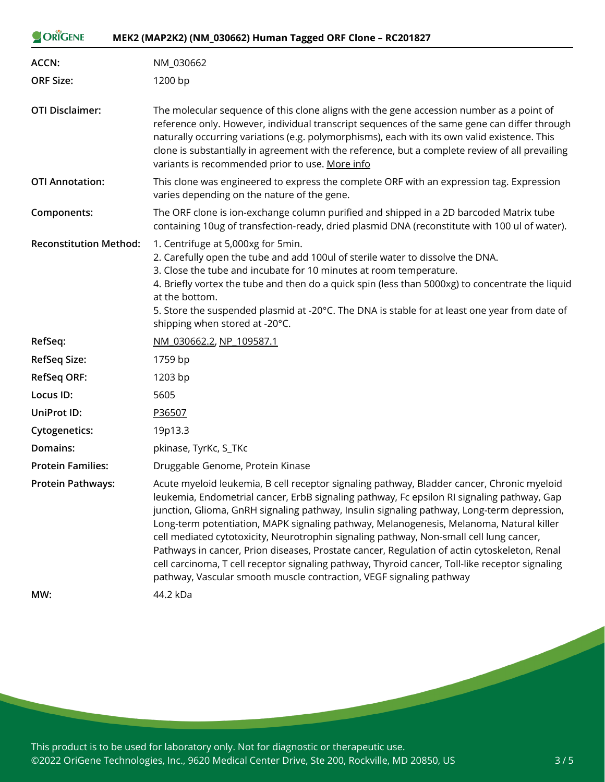| ORIGENE                       | MEK2 (MAP2K2) (NM_030662) Human Tagged ORF Clone - RC201827                                                                                                                                                                                                                                                                                                                                                                                                                                                                                                                                                                                                                                                                                            |
|-------------------------------|--------------------------------------------------------------------------------------------------------------------------------------------------------------------------------------------------------------------------------------------------------------------------------------------------------------------------------------------------------------------------------------------------------------------------------------------------------------------------------------------------------------------------------------------------------------------------------------------------------------------------------------------------------------------------------------------------------------------------------------------------------|
| ACCN:                         | NM_030662                                                                                                                                                                                                                                                                                                                                                                                                                                                                                                                                                                                                                                                                                                                                              |
| <b>ORF Size:</b>              | 1200 bp                                                                                                                                                                                                                                                                                                                                                                                                                                                                                                                                                                                                                                                                                                                                                |
| <b>OTI Disclaimer:</b>        | The molecular sequence of this clone aligns with the gene accession number as a point of<br>reference only. However, individual transcript sequences of the same gene can differ through<br>naturally occurring variations (e.g. polymorphisms), each with its own valid existence. This<br>clone is substantially in agreement with the reference, but a complete review of all prevailing<br>variants is recommended prior to use. More info                                                                                                                                                                                                                                                                                                         |
| <b>OTI Annotation:</b>        | This clone was engineered to express the complete ORF with an expression tag. Expression<br>varies depending on the nature of the gene.                                                                                                                                                                                                                                                                                                                                                                                                                                                                                                                                                                                                                |
| Components:                   | The ORF clone is ion-exchange column purified and shipped in a 2D barcoded Matrix tube<br>containing 10ug of transfection-ready, dried plasmid DNA (reconstitute with 100 ul of water).                                                                                                                                                                                                                                                                                                                                                                                                                                                                                                                                                                |
| <b>Reconstitution Method:</b> | 1. Centrifuge at 5,000xg for 5min.<br>2. Carefully open the tube and add 100ul of sterile water to dissolve the DNA.<br>3. Close the tube and incubate for 10 minutes at room temperature.<br>4. Briefly vortex the tube and then do a quick spin (less than 5000xg) to concentrate the liquid<br>at the bottom.<br>5. Store the suspended plasmid at -20°C. The DNA is stable for at least one year from date of<br>shipping when stored at -20°C.                                                                                                                                                                                                                                                                                                    |
| RefSeq:                       | NM 030662.2, NP 109587.1                                                                                                                                                                                                                                                                                                                                                                                                                                                                                                                                                                                                                                                                                                                               |
| <b>RefSeq Size:</b>           | 1759 bp                                                                                                                                                                                                                                                                                                                                                                                                                                                                                                                                                                                                                                                                                                                                                |
| <b>RefSeq ORF:</b>            | 1203 bp                                                                                                                                                                                                                                                                                                                                                                                                                                                                                                                                                                                                                                                                                                                                                |
| Locus ID:                     | 5605                                                                                                                                                                                                                                                                                                                                                                                                                                                                                                                                                                                                                                                                                                                                                   |
| <b>UniProt ID:</b>            | P36507                                                                                                                                                                                                                                                                                                                                                                                                                                                                                                                                                                                                                                                                                                                                                 |
| <b>Cytogenetics:</b>          | 19p13.3                                                                                                                                                                                                                                                                                                                                                                                                                                                                                                                                                                                                                                                                                                                                                |
| Domains:                      | pkinase, TyrKc, S_TKc                                                                                                                                                                                                                                                                                                                                                                                                                                                                                                                                                                                                                                                                                                                                  |
| <b>Protein Families:</b>      | Druggable Genome, Protein Kinase                                                                                                                                                                                                                                                                                                                                                                                                                                                                                                                                                                                                                                                                                                                       |
| <b>Protein Pathways:</b>      | Acute myeloid leukemia, B cell receptor signaling pathway, Bladder cancer, Chronic myeloid<br>leukemia, Endometrial cancer, ErbB signaling pathway, Fc epsilon RI signaling pathway, Gap<br>junction, Glioma, GnRH signaling pathway, Insulin signaling pathway, Long-term depression,<br>Long-term potentiation, MAPK signaling pathway, Melanogenesis, Melanoma, Natural killer<br>cell mediated cytotoxicity, Neurotrophin signaling pathway, Non-small cell lung cancer,<br>Pathways in cancer, Prion diseases, Prostate cancer, Regulation of actin cytoskeleton, Renal<br>cell carcinoma, T cell receptor signaling pathway, Thyroid cancer, Toll-like receptor signaling<br>pathway, Vascular smooth muscle contraction, VEGF signaling pathway |
| MW:                           | 44.2 kDa                                                                                                                                                                                                                                                                                                                                                                                                                                                                                                                                                                                                                                                                                                                                               |

This product is to be used for laboratory only. Not for diagnostic or therapeutic use. ©2022 OriGene Technologies, Inc., 9620 Medical Center Drive, Ste 200, Rockville, MD 20850, US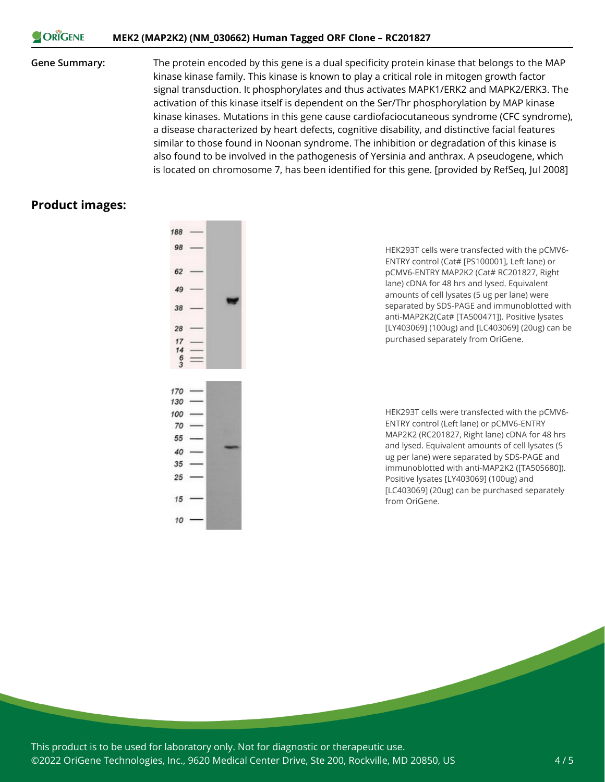#### **CORIGENE MEK2 (MAP2K2) (NM\_030662) Human Tagged ORF Clone – RC201827**

**Gene Summary:** The protein encoded by this gene is a dual specificity protein kinase that belongs to the MAP kinase kinase family. This kinase is known to play a critical role in mitogen growth factor signal transduction. It phosphorylates and thus activates MAPK1/ERK2 and MAPK2/ERK3. The activation of this kinase itself is dependent on the Ser/Thr phosphorylation by MAP kinase kinase kinases. Mutations in this gene cause cardiofaciocutaneous syndrome (CFC syndrome), a disease characterized by heart defects, cognitive disability, and distinctive facial features similar to those found in Noonan syndrome. The inhibition or degradation of this kinase is also found to be involved in the pathogenesis of Yersinia and anthrax. A pseudogene, which is located on chromosome 7, has been identified for this gene. [provided by RefSeq, Jul 2008]

#### **Product images:**



 $10<sup>10</sup>$ 

HEK293T cells were transfected with the pCMV6- ENTRY control (Cat# [PS100001], Left lane) or pCMV6-ENTRY MAP2K2 (Cat# RC201827, Right lane) cDNA for 48 hrs and lysed. Equivalent amounts of cell lysates (5 ug per lane) were separated by SDS-PAGE and immunoblotted with anti-MAP2K2(Cat# [TA500471]). Positive lysates [LY403069] (100ug) and [LC403069] (20ug) can be purchased separately from OriGene.

HEK293T cells were transfected with the pCMV6- ENTRY control (Left lane) or pCMV6-ENTRY MAP2K2 (RC201827, Right lane) cDNA for 48 hrs and lysed. Equivalent amounts of cell lysates (5 ug per lane) were separated by SDS-PAGE and immunoblotted with anti-MAP2K2 ([TA505680]). Positive lysates [LY403069] (100ug) and [LC403069] (20ug) can be purchased separately from OriGene.

This product is to be used for laboratory only. Not for diagnostic or therapeutic use. ©2022 OriGene Technologies, Inc., 9620 Medical Center Drive, Ste 200, Rockville, MD 20850, US